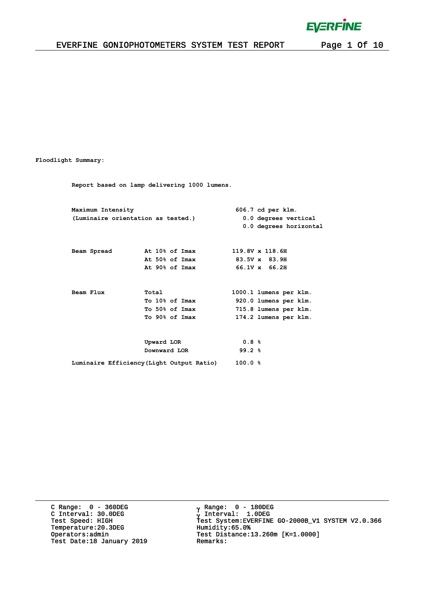$\bar{1}$ 

### EVERFINE GONIOPHOTOMETERS SYSTEM TEST REPORT Page 1 Of 10

#### **Floodlight Summary:**

**Report based on lamp delivering 1000 lumens.**

| Maximum Intensity |                                    |                                           |        | 606.7 cd per klm.      |  |  |  |  |  |  |
|-------------------|------------------------------------|-------------------------------------------|--------|------------------------|--|--|--|--|--|--|
|                   | (Luminaire orientation as tested.) |                                           |        | 0.0 degrees vertical   |  |  |  |  |  |  |
|                   |                                    |                                           |        | 0.0 degrees horizontal |  |  |  |  |  |  |
|                   |                                    |                                           |        |                        |  |  |  |  |  |  |
| Beam Spread       |                                    | At 10% of Imax                            |        | 119.8V x 118.6H        |  |  |  |  |  |  |
|                   |                                    | At 50% of Imax                            |        | 83.5V x 83.9H          |  |  |  |  |  |  |
|                   |                                    | At 90% of Imax                            |        | $66.1V \times 66.2H$   |  |  |  |  |  |  |
|                   |                                    |                                           |        |                        |  |  |  |  |  |  |
| Beam Flux         | Total                              |                                           |        | 1000.1 lumens per klm. |  |  |  |  |  |  |
|                   |                                    | To 10% of Imax                            |        | 920.0 lumens per klm.  |  |  |  |  |  |  |
|                   |                                    | To 50% of Imax                            |        | 715.8 lumens per klm.  |  |  |  |  |  |  |
|                   |                                    | To 90% of Imax                            |        | 174.2 lumens per klm.  |  |  |  |  |  |  |
|                   |                                    |                                           |        |                        |  |  |  |  |  |  |
|                   | Upward LOR                         |                                           | 0.8%   |                        |  |  |  |  |  |  |
|                   |                                    | Downward LOR                              | 99.2%  |                        |  |  |  |  |  |  |
|                   |                                    | Luminaire Efficiency (Light Output Ratio) | 100.0% |                        |  |  |  |  |  |  |

C Range: 0 - 360DEG C Interval: 30.0DEG Temperature:20.3DEG Humidity:65.0%<br>Operators:admin Test Distance: Test Date:18 January 2019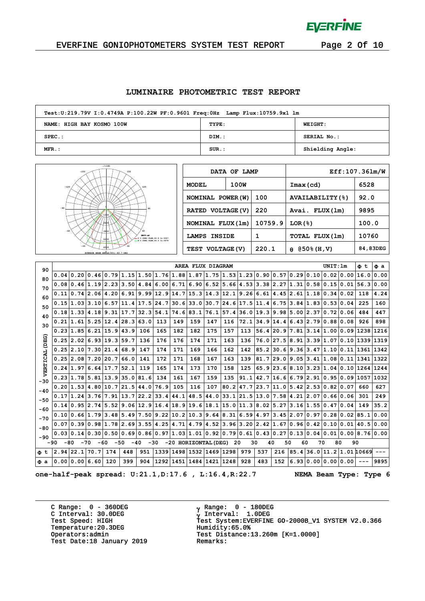

 $\alpha$ 

### EVERFINE GONIOPHOTOMETERS SYSTEM TEST REPORT Page 2 Of 10

#### **LUMINAIRE PHOTOMETRIC TEST REPORT**

| Test:U:219.79V I:0.4749A P:100.22W PF:0.9601 Freq:0Hz Lamp Flux:10759.9x1 lm |          |                  |  |  |  |  |  |  |  |  |  |
|------------------------------------------------------------------------------|----------|------------------|--|--|--|--|--|--|--|--|--|
| NAME: HIGH BAY KOSMO 100W                                                    | TYPE:    | <b>WEIGHT:</b>   |  |  |  |  |  |  |  |  |  |
| $SPEC.$ :                                                                    | DIM.:    | SERIAL No.:      |  |  |  |  |  |  |  |  |  |
| MFR.:                                                                        | $SUR$ .: | Shielding Angle: |  |  |  |  |  |  |  |  |  |



|                     | DATA OF LAMP |         | Eff:107.361m/W          |          |  |  |  |  |  |
|---------------------|--------------|---------|-------------------------|----------|--|--|--|--|--|
| <b>MODEL</b>        | 100W         |         | $Imax$ (cd)             | 6528     |  |  |  |  |  |
| NOMINAL POWER (W)   |              | 100     | <b>AVAILABILITY (%)</b> | 92.0     |  |  |  |  |  |
| RATED VOLTAGE (V)   |              | 220     | Avai. FLUX (1m)         | 9895     |  |  |  |  |  |
| NOMINAL FLUX (1m)   |              | 10759.9 | LOR(8)                  | 100.0    |  |  |  |  |  |
| <b>LAMPS INSIDE</b> |              |         | TOTAL FLUX (1m)         | 10760    |  |  |  |  |  |
| TEST VOLTAGE (V)    |              | 220.1   | $(950\$ $(H, V)$<br>θ   | 84,83DEG |  |  |  |  |  |

| 90             |                |       |                                    |             |                             |             |                                                                                                  |      | AREA FLUX DIAGRAM        |      |      |                |             |             |    |    | UNIT:Im                                                                                               | Φt  | Фa   |
|----------------|----------------|-------|------------------------------------|-------------|-----------------------------|-------------|--------------------------------------------------------------------------------------------------|------|--------------------------|------|------|----------------|-------------|-------------|----|----|-------------------------------------------------------------------------------------------------------|-----|------|
| 80             |                |       |                                    |             |                             |             | $0.04$   $0.20$   $0.46$   $0.79$   $1.15$   $1.50$   $1.76$   $1.88$   $1.87$   $1.75$   $1.53$ |      |                          |      |      |                |             |             |    |    | $1.23 0.90 0.57 0.29 0.10 0.02 0.00 16.0$                                                             |     | 0.00 |
| 70             |                |       |                                    |             |                             |             | 0.08 0.46 1.19 2.23 3.50 4.84 6.00                                                               |      |                          |      |      |                |             |             |    |    | $(6.71 6.90 6.52 5.66 4.53 3.38 2.27 1.31 0.58 0.15 0.01 56.3 0.00$                                   |     |      |
| 60.            |                |       | 0.11 0.74 2.06 4.20 6.91 9.99 12.9 |             |                             |             |                                                                                                  |      |                          |      |      |                |             |             |    |    | $14.7$  15.3 14.3 12.1 9.26 6.61 4.45 2.61 1.18 0.34 0.02                                             | 118 | 4.24 |
| 50             |                |       | 0.15 1.03 3.10                     |             | 6.57 11.4 17.5 24.7         |             |                                                                                                  |      |                          |      |      |                |             |             |    |    | $30.6$   33.0   30.7   24.6   17.5   11.4   6.75   3.84   1.83   0.53   0.04                          | 225 | 160  |
| 40             |                |       | 0.18 1.33 4.18                     | 9.31        | 17.7                        | $32.3$ 54.1 |                                                                                                  |      | 74.683.176.157.4         |      |      | 36.0           | $19.3$ 9.98 |             |    |    | 5.00 2.37 0.72 0.06                                                                                   | 484 | 447  |
| 30             |                |       | 0.21 1.61 5.25                     | 12.4        | 28.3                        | 63.0        | 113                                                                                              | 149  | 159                      | 147  | 116  | 72.1           | 34.9        | 14.4        |    |    | 6.432.790.880.08                                                                                      | 926 | 898  |
|                |                |       | 0.23 1.85 6.21                     | 15.9 43.9   |                             | 106         | 165                                                                                              | 182  | 182                      | 175  | 157  | 113            |             |             |    |    | 56.4 20.9 7.81 3.14 1.00 0.09 1238 1216                                                               |     |      |
| (DEG)          |                |       | 0.25 2.02 6.93                     | $19.3$ 59.7 |                             | 136         | 176                                                                                              | 176  | 174                      | 171  | 163  | 136            |             | $76.0$ 27.5 |    |    | 8.913.391.070.101339                                                                                  |     | 1319 |
|                |                |       | 0.25 2.10 7.30 21.4                |             | 68.9                        | 147         | 174                                                                                              | 171  | 169                      | 166  | 162  | 142            | 85.2        |             |    |    | 30.6 9.36 3.47 1.10 0.11 1361 1342                                                                    |     |      |
|                |                |       | 0.25 2.08 7.20 20.7                |             | 66.0                        | 141         | 172                                                                                              | 171  | 168                      | 167  | 163  | 139            |             |             |    |    | $81.7$  29.0 9.05 3.41 1.08 0.11 1341                                                                 |     | 1322 |
| VERTICAL       |                |       | 0.24 1.97 6.64                     | 17.7        | 52.1                        | 119         | 165                                                                                              | 174  | 173                      | 170  | 158  | 125            |             |             |    |    | $65.9$  23.6 8.10 3.23 1.04 0.10 1264                                                                 |     | 1244 |
|                |                |       | 0.23 1.78 5.81                     | $13.9$ 35.0 |                             | 81.6        | 134                                                                                              | 161  | 167                      | 159  | 135  | 91.1           | 42.7        |             |    |    | 16.66.792.910.950.091057                                                                              |     | 1032 |
| $-30$          |                |       | 0.20 1.53 4.80                     | 10.7        | 21.5 44.0 76.9              |             |                                                                                                  | 105  | 116                      | 107  | 80.2 | $47.7$ 23.7    |             | 11.0        |    |    | 5.422.530.820.07                                                                                      | 660 | 627  |
| $-40$<br>$-50$ |                |       | 0.17 1.24 3.76                     | 7.91        | 13.7                        | 22.2 33.4   |                                                                                                  | 44.1 | 48.5                     | 44.0 |      | 33.1 21.5 13.0 |             |             |    |    | $17.58$ $4.21$ $2.07$ $0.66$ $0.06$                                                                   | 301 | 249  |
|                |                |       |                                    |             |                             |             | $0.14 0.95 2.74 5.52 9.06 12.9 16.4 18.9 19.6 18.1 15.0 11.3 8.02 5.27$                          |      |                          |      |      |                |             |             |    |    | 3.16 1.55 0.47 0.04                                                                                   | 149 | 35.2 |
| $-60$          |                |       |                                    |             |                             |             | 0.10 0.66 1.79 3.48 5.49 7.50 9.22                                                               |      |                          |      |      |                |             |             |    |    | $10.2 10.3 9.64 8.31 6.59 4.97 3.45 2.07 0.97 0.28 0.02 85.1$                                         |     | 0.00 |
| $-70$          |                |       | 0.0710.3910.981                    |             | $1.78$ $2.69$ $3.55$ $4.25$ |             |                                                                                                  |      |                          |      |      |                |             |             |    |    | $4.71 4.79 4.52 3.96 3.20 2.42 1.67 0.96 0.42 0.10 0.01 40.5 0.00$                                    |     |      |
| $-80$          |                |       |                                    |             |                             |             |                                                                                                  |      |                          |      |      |                |             |             |    |    | $0.03 0.14 0.30 0.50 0.69 0.86 0.97 1.03 1.01 0.92 0.79 0.61 0.43 0.27 0.13 0.04 0.01 0.00 8.76 0.00$ |     |      |
| $-90$<br>-90   | -80            | $-70$ | -60                                | $-50$       | $-40$                       | $-30$       |                                                                                                  |      | -20 HORIZONTAL (DEG)     |      | 20   |                | 30<br>40    | 50          | 60 | 70 | 80                                                                                                    | 90  |      |
| Φt             | 2.94 22.1      |       | 70.7                               | 174         | 448                         | 951         | 1339                                                                                             | 1498 | 1532 1469                |      | 1298 | 979            | 537         | 216         |    |    | 85.436.011.21.0110669                                                                                 |     |      |
| $\Phi$ a       | 0.00 0.00 6.60 |       |                                    | 120         | 399                         | 904         |                                                                                                  |      | 1292 1451 1484 1421 1248 |      |      | 928            | 483         | 152         |    |    | 6.93 0.00 0.00 0.00                                                                                   |     | 9895 |

**one-half-peak spread: U:21.1,D:17.6 , L:16.4,R:22.7 NEMA Beam Type: Type 6**

C Range: 0 - 360DEG C Interval: 30.0DEG<br>Test Speed: HIGH Temperature:20.3DEG<br>
Operators:admin Test Distance: Test Date:18 January 2019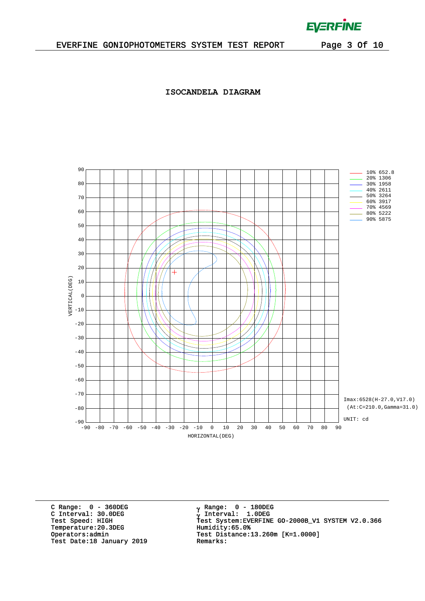$\mathcal{L}^{\text{max}}$  and  $\mathcal{L}^{\text{max}}$ 

### **ISOCANDELA DIAGRAM**



C Range: 0 - 360DEG C Interval: 30.0DEG<br>Test Speed: HIGH Temperature:20.3DEG Humidity:65.0%<br>Operators:admin Test Distance: Test Date:18 January 2019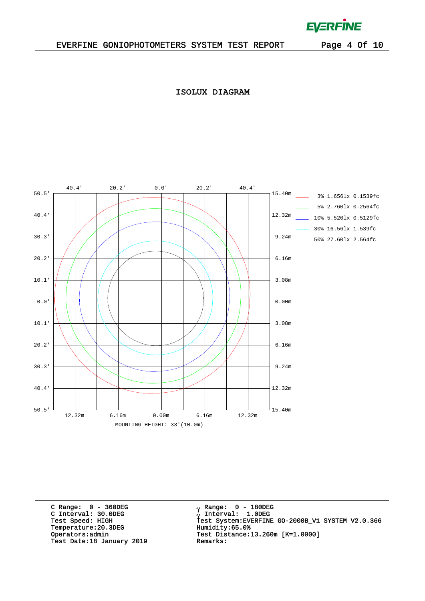$\mathcal{L}^{\text{max}}$ 

**ISOLUX DIAGRAM**



C Range: 0 - 360DEG C Interval: 30.0DEG<br>Test Speed: HIGH Temperature:20.3DEG Humidity:65.0%<br>Operators:admin Test Distance: Test Date:18 January 2019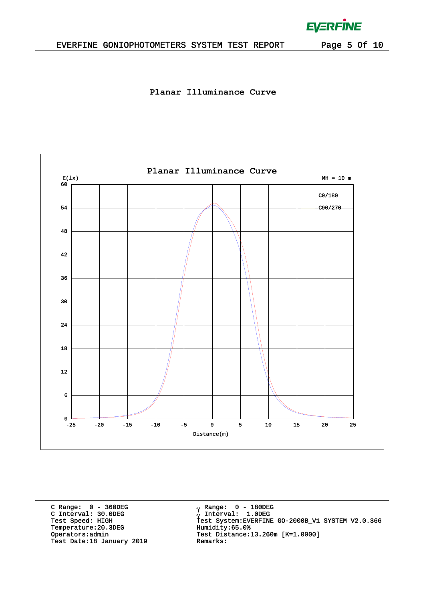### EVERFINE GONIOPHOTOMETERS SYSTEM TEST REPORT Page 5 Of 10

**EVERFINE** 

 $\bar{L}$ 

**Planar Illuminance Curve**



C Range: 0 - 360DEG C Interval: 30.0DEG<br>Test Speed: HIGH Temperature:20.3DEG Humidity:65.0%<br>Operators:admin Test Distance: Test Date:18 January 2019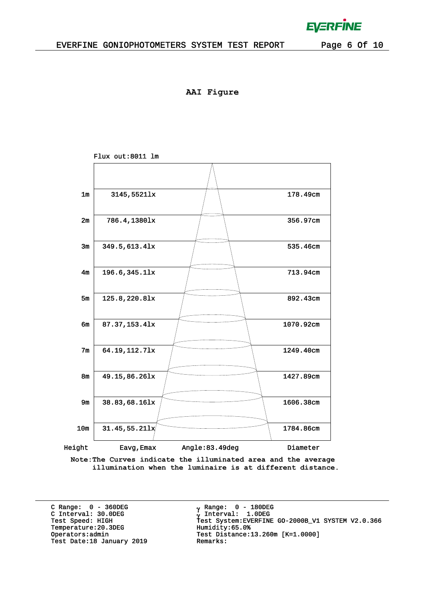**AAI Figure**



**Note:The Curves indicate the illuminated area and the average illumination when the luminaire is at different distance.**

C Range: 0 - 360DEG C Interval: 30.0DEG<br>Test Speed: HIGH Temperature:20.3DEG Humidity:65.0%<br>Operators:admin Test Distance: Test Date:18 January 2019

 $_{\rm V}$  Range: 0 - 180DEG γ Range: 0 – 180DE<br>γ Interval: 1.0DEG <sup>γ</sup> Test Speed: HIGH Test System:EVERFINE GO-2000B\_V1 SYSTEM V2.0.366 Test Distance:13.260m [K=1.0000]<br>Remarks:

**EVERFINE**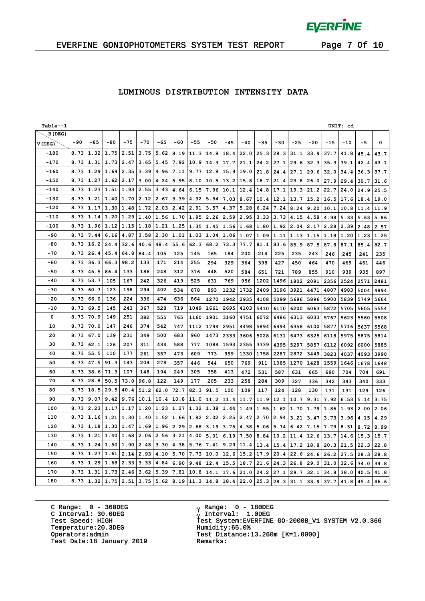$\bar{L}$ 

### EVERFINE GONIOPHOTOMETERS SYSTEM TEST REPORT Page 7 Of 10

### **LUMINOUS DISTRIBUTION INTENSITY DATA**

| Table--1 |       |       |       |       |           |       |       |       |       |       |       |       |       |       |       |       | UNIT: cd |      |             |
|----------|-------|-------|-------|-------|-----------|-------|-------|-------|-------|-------|-------|-------|-------|-------|-------|-------|----------|------|-------------|
| H(DEG)   |       |       |       |       |           |       |       |       |       |       |       |       |       |       |       |       |          |      |             |
| V(DEG)   | $-90$ | $-85$ | $-80$ | $-75$ | $-70$     | $-65$ | $-60$ | $-55$ | $-50$ | $-45$ | $-40$ | $-35$ | $-30$ | $-25$ | $-20$ | $-15$ | $-10$    | $-5$ | $\mathbf 0$ |
| $-180$   | 8.73  | 1.32  | 1.75  | 2.51  | 3.75      | 5.62  | 8.19  | 11.3  | 14.8  | 18.4  | 22.0  | 25.3  | 28.3  | 31.1  | 33.9  | 37.7  | 41.8     | 45.4 | 43.7        |
| $-170$   | 8.73  | 1.31  | 1.73  | 2.47  | 3.65      | 5.45  | 7.92  | 10.9  | 14.3  | 17.7  | 21.1  | 24.2  | 27.1  | 29.6  | 32.3  | 35.3  | 39.1     | 42.4 | 43.1        |
| $-160$   | 8.73  | 1.29  | 1.69  | 2.35  | 3.39      | 4.96  | 7.11  | 9.77  | 12.8  | 15.9  | 19.0  | 21.8  | 24.4  | 27.1  | 29.6  | 32.0  | 34.4     | 36.3 | 37.7        |
| $-150$   | 8.73  | 1.27  | 1.62  | 2.17  | 3.00      | 4.24  | 5.95  | 8.10  | 10.5  | 13.2  | 15.8  | 18.7  | 21.4  | 23.8  | 26.0  | 27.9  | 29.4     | 30.7 | 31.6        |
| $-140$   | 8.73  | 1.23  | 1.51  | 1.93  | 2.55      | 3.43  | 4.64  | 6.15  | 7.96  | 10.1  | 12.4  | 14.8  | 17.1  | 19.3  | 21.2  | 22.7  | 24.0     | 24.9 | 25.5        |
| $-130$   | 8.73  | 1.21  | 1.40  | 1.70  | 2.12      | 2.67  | 3.39  | 4.32  | 5.54  | 7.03  | 8.67  | 10.4  | 12.1  | 13.7  | 15.2  | 16.5  | 17.6     | 18.4 | 19.0        |
| $-120$   | 8.73  | 1.17  | 1.30  | 1.48  | 1.72      | 2.03  | 2.42  | 2.91  | 3.57  | 4.37  | 5.28  | 6.24  | 7.24  | 8.24  | 9.20  | 10.1  | 10.8     | 11.4 | 11.9        |
| -110     | 8.73  | 1.14  | 1.20  | 1.29  | 1.40      | 1.56  | 1.70  | 1.95  | 2.26  | 2.59  | 2.95  | 3.33  | 3.73  | 4.15  | 4.58  | 4.98  | 5.33     | 5.63 | 5.86        |
| $-100$   | 8.73  | 1.96  | 1.12  | 1.15  | 1.18      | 1.21  | 1.25  | 1.35  | 1.45  | 1.56  | 1.68  | 1.80  | 1.92  | 2.04  | 2.17  | 2.28  | 2.39     | 2.48 | 2.57        |
| -90      | 8.73  | 7.44  | 6.16  | 4.87  | 3.58      | 2.30  | 1.01  | 1.03  | 1.04  | 1.06  | 1.07  | 1.09  | 1.11  | 1.13  | 1.15  | 1.18  | 1.20     | 1.23 | 1.25        |
| $-80$    | 8.73  | 16.2  | 24.4  | 32.6  | 40.6      | 48.4  | 55.6  | 62.3  | 68.2  | 73.3  | 77.7  | 81.1  | 83.6  | 85.9  | 87.5  | 87.8  | 87.1     | 85.4 | 82.7        |
| $-70$    | 8.73  | 26.4  | 45.4  | 64.8  | 84.4      | 105   | 125   | 145   | 165   | 184   | 200   | 214   | 225   | 235   | 243   | 246   | 245      | 241  | 235         |
| -60      | 8.73  | 36.3  | 66.3  | 98.2  | 133       | 171   | 214   | 255   | 294   | 329   | 364   | 398   | 427   | 450   | 464   | 470   | 469      | 461  | 446         |
| $-50$    | 8.73  | 45.5  | 86.4  | 133   | 186       | 248   | 312   | 376   | 448   | 520   | 584   | 651   | 721   | 789   | 855   | 910   | 939      | 935  | 897         |
| $-40$    | 8.73  | 53.7  | 105   | 167   | 242       | 326   | 419   | 525   | 631   | 769   | 956   | 1202  | 1496  | 1802  | 2091  | 2356  | 2524     | 2571 | 2481        |
| $-30$    | 8.73  | 60.7  | 123   | 198   | 294       | 402   | 534   | 678   | 893   | 1232  | 1732  | 2409  | 3196  | 3921  | 4471  | 4807  | 4983     | 5004 | 4894        |
| $-20$    | 8.73  | 66.0  | 136   | 224   | 336       | 474   | 636   | 864   | 1270  | 1942  | 2935  | 4108  | 5099  | 5686  | 5896  | 5900  | 5839     | 5749 | 5664        |
| $-10$    | 8.73  | 69.5  | 145   | 243   | 367       | 528   | 719   | 1049  | 1661  | 2695  | 4103  | 5410  | 6110  | 6200  | 6063  | 5872  | 5705     | 5605 | 5554        |
| 0        | 8.73  | 70.9  | 149   | 251   | 382       | 555   | 765   | 1160  | 1901  | 3160  | 4751  | 6072  | 6486  | 6313  | 6033  | 5767  | 5623     | 5560 | 5508        |
| 10       | 8.73  | 70.0  | 147   | 246   | 374       | 542   | 747   | 1112  | 1794  | 2951  | 4498  | 5894  | 6494  | 6358  | 6100  | 5877  | 5716     | 5637 | 5568        |
| 20       | 8.73  | 67.0  | 139   | 231   | 349       | 500   | 683   | 960   | 1473  | 2333  | 3606  | 5028  | 6131  | 6473  | 6325  | 6118  | 5975     | 5875 | 5814        |
| 30       | 8.73  | 62.1  | 126   | 207   | 311       | 434   | 588   | 777   | 1084  | 1593  | 2355  | 3339  | 4395  | 5297  | 5857  | 6112  | 6092     | 6000 | 5885        |
| 40       | 8.73  | 55.5  | 110   | 177   | 261       | 357   | 473   | 609   | 773   | 999   | 1330  | 1758  | 2287  | 2872  | 3449  | 3823  | 4037     | 4093 | 3990        |
| 50       | 8.73  | 47.5  | 91.3  | 143   | 204       | 278   | 357   | 446   | 544   | 650   | 769   | 911   | 1085  | 1270  | 1428  | 1559  | 1646     | 1678 | 1648        |
| 60       | 8.73  | 38.6  | 71.3  | 107   | 148       | 194   | 249   | 305   | 358   | 413   | 472   | 531   | 587   | 631   | 665   | 690   | 704      | 704  | 691         |
| 70       | 8.73  | 28.8  | 50.5  | 73.0  | 96.8      | 122   | 149   | 177   | 205   | 233   | 258   | 284   | 309   | 327   | 336   | 342   | 343      | 340  | 333         |
| 80       | 8.73  | 18.5  | 29.5  | 40.4  | 51.2      | 62.0  | 72.7  | 82.3  | 91.5  | 100   | 109   | 117   | 124   | 128   | 130   | 131   | 131      | 129  | 126         |
| 90       | 8.73  | 9.07  | 9.42  | 9.76  | 10.1      | 10.4  | 10.8  | 11.0  | 11.2  | 11.4  | 11.7  | 11.9  | 12.1  | 10.7  | 9.31  | 7.92  | 6.53     | 5.14 | 3.75        |
| 100      | 8.73  | 2.23  | 1.17  | 1.17  | 1.20      | 1.23  | 1.27  | 1.32  | 1.38  | 1.44  | 1.49  | 1.55  | 1.62  | 1.70  | 1.79  | 1.86  | 1.93     | 2.00 | 2.06        |
| 110      | 8.73  | 1.16  | 1.21  | 1.30  | 1.40 1.52 |       | 1.66  | 1.82  | 2.02  | 2.25  | 2.47  | 2.70  | 2.94  | 3.21  | 3.47  | 3.73  | 3.96     | 4.15 | 4.29        |
| 120      | 8.73  | 1.18  | 1.30  | 1.47  | 1.69      | 1.96  | 2.29  | 2.68  | 3.19  | 3.75  | 4.38  | 5.06  | 5.74  | 6.42  | 7.15  | 7.79  | 8.31     | 8.72 | 8.99        |
| 130      | 8.73  | 1.21  | 1.40  | 1.68  | 2.06      | 2.56  | 3.21  | 4.00  | 5.01  | 6.19  | 7.50  | 8.84  | 10.2  | 11.4  | 12.6  | 13.7  | 14.6     | 15.3 | 15.7        |
| 140      | 8.73  | 1.24  | 1.50  | 1.90  | 2.48      | 3.30  | 4.38  | 5.76  | 7.41  | 9.29  | 11.4  | 13.4  | 15.4  | 17.2  | 18.8  | 20.3  | 21.5     | 22.3 | 22.8        |
| 150      | 8.73  | 1.27  | 1.61  | 2.14  | 2.93      | 4.10  | 5.70  | 7.73  | 10.0  | 12.6  | 15.2  | 17.9  | 20.4  | 22.6  | 24.6  | 26.2  | 27.5     | 28.3 | 28.8        |
| 160      | 8.73  | 1.29  | 1.68  | 2.33  | 3.33      | 4.84  | 6.90  | 9.48  | 12.4  | 15.5  | 18.7  | 21.6  | 24.3  | 26.8  | 29.0  | 31.0  | 32.6     | 34.0 | 34.8        |
| 170      | 8.73  | 1.31  | 1.73  | 2.46  | 3.62      | 5.39  | 7.81  | 10.8  | 14.1  | 17.6  | 21.0  | 24.2  | 27.1  | 29.7  | 32.1  | 34.8  | 38.0     | 40.5 | 41.8        |
| 180      | 8.73  | 1.32  | 1.75  | 2.51  | 3.75      | 5.62  | 8.19  | 11.3  | 14.8  | 18.4  | 22.0  | 25.3  | 28.3  | 31.1  | 33.9  | 37.7  | 41.8     | 45.4 | 46.6        |

C Range: 0 - 360DEG C Interval: 30.0DEG Temperature:20.3DEG Humidity:65.0%<br>Operators:admin Test Distance: Test Date:18 January 2019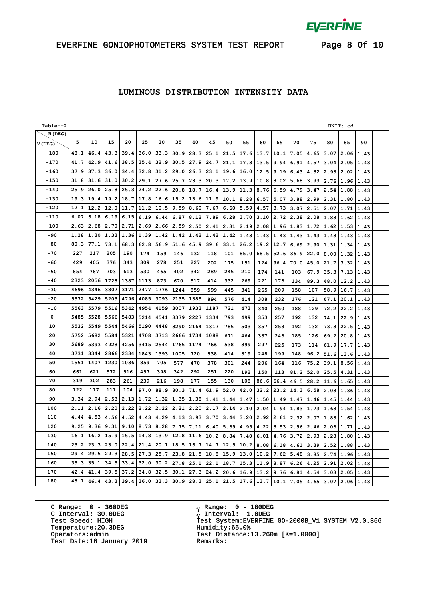$\bar{L}$ 

### EVERFINE GONIOPHOTOMETERS SYSTEM TEST REPORT Page 8 Of 10

### **LUMINOUS DISTRIBUTION INTENSITY DATA**

| Table--2 |      |      |             |                  |                       |             |      |      |      |      |               |             |           |                      |             |                  | UNIT: cd |      |  |
|----------|------|------|-------------|------------------|-----------------------|-------------|------|------|------|------|---------------|-------------|-----------|----------------------|-------------|------------------|----------|------|--|
| H(DEG)   |      |      |             |                  |                       |             |      |      |      |      |               |             |           |                      |             |                  |          |      |  |
| V(DEG)   | 5    | 10   | 15          | 20               | 25                    | 30          | 35   | 40   | 45   | 50   | 55            | 60          | 65        | 70                   | 75          | 80               | 85       | 90   |  |
| $-180$   | 48.1 | 46.4 | 43.3        | 39.4             | 36.0                  | 33.3        | 30.9 | 28.3 | 25.1 | 21.5 | 17.6          | 13.7        | 10.1      | 7.05                 | 4.65        | 3.07             | 2.06     | 1.43 |  |
| $-170$   | 41.7 | 42.9 | 41.6        | 38.5             | 35.4                  | 32.9        | 30.5 | 27.9 | 24.7 | 21.1 | 17.3 13.5     |             | 9.94      | 6.91                 | 4.57        | 3.04             | 2.05     | 1.43 |  |
| $-160$   | 37.9 | 37.3 | 36.0        | 34.4             | 32.8                  | 31.2        | 29.0 | 26.3 | 23.1 | 19.6 | $16.0$   12.5 |             | 9.19      | 6.43                 | 4.32        | 2.93             | 2.02     | 1.43 |  |
| $-150$   | 31.8 | 31.6 | 31.0        | 30.2             | 29.1                  | 27.6        | 25.7 | 23.3 | 20.3 | 17.2 | 13.9          | 10.8        | 8.02      | 5.68                 | 3.93        | 2.76             | 1.96     | 1.43 |  |
| $-140$   | 25.9 | 26.0 | 25.8        | 25.3             | 24.2                  | 22.6        | 20.8 | 18.7 | 16.4 | 13.9 | 11.3          | 8.76        | 6.59      | 4.79                 | 3.47        | 2.54             | 1.88     | 1.43 |  |
| -130     | 19.3 | 19.4 | 19.2        | 18.7             | 17.8                  | 16.6        | 15.2 | 13.6 | 11.9 | 10.1 | 8.28          | 6.57        | 5.07      | 3.88                 | 2.99        | 2.31             | 1.80     | 1.43 |  |
| -120     | 12.1 | 12.2 | 12.0        | 11.7             | 11.2                  | 10.5        | 9.59 | 8.60 | 7.67 | 6.60 | 5.59          | 4.57        | 3.73      | 3.07                 | 2.51        | 2.07             | 1.71     | 1.43 |  |
| $-110$   | 6.07 | 6.18 | 6.19        | 6.15             | 6.19                  | 6.44        | 6.87 | 8.12 | 7.89 | 6.28 | 3.70          | 3.10        | 2.72      | 2.38                 |             | 2.08 1.83        | 1.62     | 1.43 |  |
| $-100$   | 2.63 | 2.68 | 2.70        | 2.71             | 2.69                  | 2.66        | 2.59 | 2.50 | 2.41 | 2.31 | 2.19          | 2.08        | 1.96      | 1.83                 | 1.72        | 1.62             | 1.53     | 1.43 |  |
| $-90$    | 1.28 | 1.30 | 1.33        | 1.36             | 1.39                  | 1.42        | 1.42 | 1.42 | 1.42 | 1.42 | 1.43          | 1.43        | 1.43      | 1.43                 |             | 1.43 1.43        | 1.43     | 1.43 |  |
| $-80$    | 80.3 | 77.1 | 73.1        | 68.3             | 62.8                  | 56.9        | 51.6 | 45.9 | 39.6 | 33.1 | 26.2          | 19.2        | 12.7      | 6.69                 | 2.90        | 1.31             | 1.34     | 1.43 |  |
| $-70$    | 227  | 217  | 205         | 190              | 174                   | 159         | 146  | 132  | 118  | 101  | 85.0          | 68.5        | 52.6      | 36.9                 | 22.0        | 8.00             | 1.32     | 1.43 |  |
| $-60$    | 429  | 405  | 376         | 343              | 309                   | 278         | 251  | 227  | 202  | 175  | 151           | 124         | 96.4      | 70.0                 | 45.0        | 21.7             | 3.32     | 1.43 |  |
| -50      | 854  | 787  | 703         | 613              | 530                   | 465         | 402  | 342  | 289  | 245  | 210           | 174         | 141       | 103                  | 67.9        | 35.3             | 7.13     | 1.43 |  |
| $-40$    | 2323 | 2056 | 1728        | 1387             | 1113                  | 873         | 670  | 517  | 414  | 332  | 269           | 221         | 176       | 134                  | 89.3        | 48.0             | 12.2     | 1.43 |  |
| -30      | 4696 | 4346 | 3807        | 3171             | 2477                  | 1776        | 1244 | 859  | 599  | 445  | 341           | 265         | 209       | 158                  | 107         | 58.9             | 16.7     | 1.43 |  |
| $-20$    | 5572 | 5429 | 5203        | 4796             | 4085                  | 3093        | 2135 | 1385 | 894  | 576  | 414           | 308         | 232       | 176                  | 121         | 67.1             | 20.1     | 1.43 |  |
| $-10$    | 5563 | 5579 | 5516        | 5342             | 4954                  | 4159        | 3007 | 1933 | 1187 | 721  | 473           | 340         | 250       | 188                  | 129         | 72.2             | 22.2     | 1.43 |  |
| 0        | 5485 | 5528 | 5566        | 5483             | 5214                  | 4541        | 3379 | 2227 | 1334 | 793  | 499           | 353         | 257       | 192                  | 132         | 74.1             | 22.9     | 1.43 |  |
| 10       | 5532 | 5549 | 5544        | 5466             | 5190                  | 4448        | 3290 | 2164 | 1317 | 785  | 503           | 357         | 258       | 192                  | 132         | 73.3             | 22.5     | 1.43 |  |
| 20       | 5752 | 5682 | 5584        | 5321             | 4708                  | 3713        | 2666 | 1734 | 1088 | 671  | 464           | 337         | 246       | 185                  | 126         | 69.2             | 20.8     | 1.43 |  |
| 30       | 5689 | 5393 | 4928        | 4256             | 3415                  | 2544        | 1765 | 1174 | 766  | 538  | 399           | 297         | 225       | 173                  | 114         | 61.9             | 17.7     | 1.43 |  |
| 40       | 3731 | 3344 | 2866        | 2334             | 1843                  | 1393        | 1005 | 720  | 538  | 414  | 319           | 248         | 199       | 148                  | 96.2        | 51.6             | 13.6     | 1.43 |  |
| 50       | 1551 | 1407 | 1230        | 1036             | 859                   | 705         | 577  | 470  | 378  | 301  | 244           | 206         | 164       | 116                  | 75.2        | 39.1             | 8.56     | 1.43 |  |
| 60       | 661  | 621  | 572         | 516              | 457                   | 398         | 342  | 292  | 251  | 220  | 192           | 150         | 113       | 81.2                 | 52.0        | 25.5             | 4.31     | 1.43 |  |
| 70       | 319  | 302  | 283         | 261              | 239                   | 216         | 198  | 177  | 155  | 130  | 108           | 86.6        | 66.4      | 46.5                 | 28.2        | 11.6             | 1.65     | 1.43 |  |
| 80       | 122  | 117  | 111         | 104              | 97.0                  | 88.9        | 80.3 | 71.4 | 61.9 | 52.0 | 42.0          | 32.2        | 23.2      | 14.3                 | 6.58        | 2.03             | 1.36     | 1.43 |  |
| 90       | 3.34 | 2.94 | 2.53        | $2.13 \mid 1.72$ |                       | 1.32        | 1.35 | 1.38 | 1.41 | 1.44 | 1.47          | 1.50        | 1.49      | 1.47                 |             | $1.46 \mid 1.45$ | 1.44     | 1.43 |  |
| 100      | 2.11 |      | $2.16$ 2.20 | $2.22$ 2.22      |                       | 2.22        | 2.21 | 2.20 | 2.17 | 2.14 | 2.10          | 2.04        | 1.94 1.83 |                      | 1.73        | 1.63             | 1.54     | 1.43 |  |
| 110      | 4.44 | 4.53 | 4.56        |                  | $4.52 \mid 4.43 \mid$ | 4.29        | 4.13 | 3.93 | 3.70 | 3.44 | 3.20          |             |           | $2.92$   2.61   2.32 | 2.07        | 1.83             | 1.62     | 1.43 |  |
| 120      | 9.25 | 9.36 | 9.31        |                  | 9.10   8.73           | 8.28        | 7.75 | 7.11 | 6.40 | 5.69 | 4.95          | 4.22        | 3.53      | 2.96                 | 2.46        | 2.06             | 1.71     | 1.43 |  |
| 130      | 16.1 | 16.2 | 15.9        | 15.5 14.8        |                       | $13.9$ 12.8 |      | 11.6 | 10.2 | 8.84 | 7.40          | 6.01        |           | 4.76 3.72            | $2.93$ 2.28 |                  | 1.80     | 1.43 |  |
| 140      | 23.2 | 23.3 | 23.0        | 22.4             | 21.4                  | 20.1        | 18.5 | 16.7 | 14.7 | 12.5 | 10.2          | 8.08        | 6.18      | 4.61                 | 3.39        | 2.52             | 1.88     | 1.43 |  |
| 150      | 29.4 | 29.5 | 29.3        | 28.5             | 27.3                  | 25.7        | 23.8 | 21.5 | 18.8 | 15.9 | 13.0          | 10.2        | 7.62      | 5.48                 | 3.85        | 2.74             | 1.96     | 1.43 |  |
| 160      | 35.3 | 35.1 | 34.5        | 33.4             | 32.0                  | 30.2        | 27.8 | 25.1 | 22.1 | 18.7 | 15.3          | 11.9        | 8.87      | 6.26                 | 4.25        | 2.91             | 2.02     | 1.43 |  |
| 170      | 42.4 | 41.4 | 39.5        | 37.2             | 34.8                  | 32.5        | 30.1 | 27.3 | 24.2 | 20.6 | $16.9$ 13.2   |             | 9.76      | 6.81                 | 4.54        | 3.03             | 2.05     | 1.43 |  |
| 180      | 48.1 | 46.4 | 43.3        | 39.4             |                       | $36.0$ 33.3 | 30.9 | 28.3 | 25.1 | 21.5 |               | $17.6$ 13.7 | 10.1      | 7.05                 | 4.65        | 3.07             | 2.06     | 1.43 |  |

C Range: 0 - 360DEG C Interval: 30.0DEG Temperature:20.3DEG Humidity:65.0%<br>Operators:admin Test Distance: Test Date:18 January 2019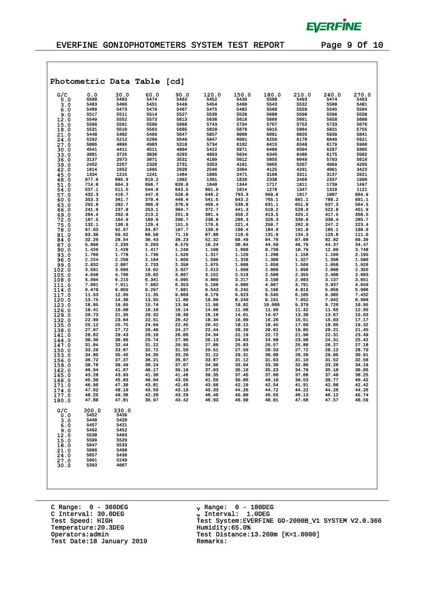

 $\mathcal{A}$ 

|                |                |                | Photometric Data Table [cd] |                |                |                |                |                |                |                |
|----------------|----------------|----------------|-----------------------------|----------------|----------------|----------------|----------------|----------------|----------------|----------------|
| G/C            | 0.0            | 30.0           | 60.0                        | 90.0           | 120.0          | 150.0          | 180.0          | 210.0          | 240.0          | 270.0          |
| 0.0            | 5508<br>5483   | 5493<br>5466   | 5474<br>5451                | 5463<br>5449   | 5452<br>5454   | 5439<br>5460   | 5508<br>5543   | 5493<br>5532   | 5474<br>5508   | 5463<br>5481   |
| 3.0<br>6.0     | 5489           | 5473           | 5470                        | 5467           | 5475           | 5482           | 5568           | 5559           | 5545           | 5504           |
| 9.0            | 5517           | 5511           | 5514                        | 5527           | 5539           | 5526           | 5608           | 5598           | 5596           | 5550           |
| 12.0           | 5549           | 5552           | 5573                        | 5613           | 5638           | 5616           | 5669           | 5661           | 5658           | 5608           |
| 15.0           | 5566           | 5561           | 5599                        | 5668           | 5743           | 5734           | 5767           | 5753           | 5733           | 5676           |
| 18.0           | 5531<br>5448   | 5510<br>5402   | 5563<br>5469                | 5685<br>5647   | 5820<br>5857   | 5879<br>6000   | 5915<br>6091   | 5884<br>6026   | 5831<br>5939   | 5755<br>5841   |
| 21.0<br>24.0   | 5292           | 5212           | 5299                        | 5549           | 5847           | 6091           | 6256           | 6178           | 6049           | 5921           |
| 27.0           | 5006           | 4896           | 4983                        | 5318           | 5734           | 6102           | 6415           | 6348           | 6179           | 5960           |
| 30.0           | 4541           | 4411           | 4511                        | 4894           | 5422           | 5971           | 6486           | 6504           | 6287           | 5885           |
| 33.0           | 3881<br>3137   | 3725<br>2973   | 3836<br>3071                | 4293<br>3531   | 4893<br>4189   | 5634<br>5012   | 6345<br>5855   | 6480<br>6049   | 6175<br>5703   | 5582<br>5010   |
| 36.0<br>39.0   | 2452           | 2257           | 2326                        | 2731           | 3353           | 4191           | 5065           | 5267           | 4969           | 4265           |
| 42.0           | 1814           | 1652           | 1695                        | 2028           | 2546           | 3304           | 4125           | 4291           | 4061           | 3423           |
| 45.0           | 1334           | 1215           | 1241                        | 1484           | 1885           | 2471           | 3160           | 3311           | 3137           | 2621           |
| 48.0<br>51.0   | 977.6<br>714.0 | 895.9<br>664.3 | 919.2<br>696.7              | 1092<br>820.8  | 1391<br>1040   | 1820<br>1344   | 2338<br>1717   | 2469<br>1811   | 2337<br>1739   | 1990<br>1497   |
| 54.0           | 537.1          | 511.5          | 544.8                       | 643.5          | 801.9          | 1014           | 1278           | 1347           | 1310           | 1121           |
| 57.0           | 432.3          | 416.7          | 447.6                       | 528.0          | 646.2          | 793.3          | 969.6          | 1017           | 1007           | 864.9          |
| 60.0           | 353.3          | 341.7          | 370.4                       | 446.4          | 541.5          | 643.2          | 765.1          | 801.1          | 788.2          | 691.1          |
| 63.0           | 292.8<br>241.0 | 282.7<br>237.8 | 306.0<br>253.1              | 370.9<br>304.7 | 456.4          | 539.8<br>441.3 | 631.1<br>518.2 | 651.8<br>528.9 | 637.3<br>522.8 | 564.5<br>451.9 |
| 66.0<br>69.0   | 204.4          | 202.0          | 213.2                       | 251.9          | 372.7<br>301.4 | 356.2          | 413.5          | 425.2          | 417.5          | 358.5          |
| 72.0           | 167.5          | 164.9          | 169.9                       | 200.7          | 238.8          | 286.3          | 326.3          | 339.8          | 330.4          | 285.7          |
| 75.0           | 132.1          | 130.9          | 129.4                       | 151.5          | 179.6          | 221.4          | 250.7          | 262.9          | 247.2          | 223.4          |
| 78.0           | 97.03          | 92.97          | 93.87                       | 107.7          | 130.0          | 160.4          | 184.9          | 191.8          | 185.1          | 160.6          |
| 81.0<br>84.0   | 63.36<br>32.26 | 59.02<br>28.54 | 60.58<br>30.43              | 71.16<br>38.23 | 87.80<br>51.32 | 110.6<br>68.49 | 131.9<br>84.79 | 134.3<br>87.08 | 129.8<br>82.02 | 111.0<br>69.39 |
| 87.0           | 5.866          | 2.239          | 3.203                       | 8.579          | 18.24          | 30.84          | 44.50          | 46.79          | 44.37          | 34.47          |
| 90.0           | 1.426          | 1.428          | 1.417                       | 1.248          | 1.108          | 1.008          | 8.730          | 10.79          | 12.09          | 3.748          |
| 93.0           | 1.766          | 1.778          | 1.736                       | 1.528          | 1.317          | 1.129          | 1.208          | 1.158          | 1.199          | 2.195          |
| 96.0<br>99.0   | 2.224<br>2.832 | 2.258<br>2.887 | 2.164<br>2.733              | 1.868<br>2.358 | 1.596<br>1.975 | 1.328<br>1.608 | 1.388<br>1.658 | 1.327<br>1.566 | 1.398<br>1.658 | 1.580<br>1.926 |
| 102.0          | 3.591          | 3.696          | 10.02                       | 3.027          | 2.513          | 1.998          | 2.009          | 1.896          | 2.008          | 2.355          |
| 105.0          | 4.648          | 4.796          | 10.82                       | 3.867          | 3.152          | 2.518          | 2.508          | 2.355          | 2.488          | 2.903          |
| 108.0          | 5.994          | 6.215          | 6.341                       | 4.995          | 4.009          | 3.217          | 3.198          | 2.983          | 3.137          | 3.651          |
| 111.0<br>114.0 | 7.601<br>9.476 | 7.911<br>9.859 | 7.682<br>9.297              | 6.353<br>7.981 | 5.166<br>6.543 | 4.086<br>5.245 | 4.067<br>5.196 | 3.791<br>4.819 | 3.937<br>5.056 | 4.659<br>5.906 |
| 117.0          | 11.53          | 12.05          | 11.35                       | 9.869          | 8.179          | 6.623          | 6.545          | 6.105          | 6.385          | 7.432          |
| 120.0          | 13.75          | 14.30          | 13.55                       | 11.88          | 10.00          | 8.240          | 8.191          | 7.652          | 7.942          | 8.989          |
| 123.0          | 16.05          | 16.65          | 15.74                       | 13.94          | 11.98          | 10.02          | 10.000         | 9.379          | 9.720          | 10.95          |
| 126.0<br>129.0 | 18.41<br>20.73 | 19.00<br>21.35 | 18.10<br>20.32              | 16.14<br>18.30 | 14.06<br>16.18 | 11.98<br>14.01 | 11.98<br>14.07 | 11.32<br>13.38 | 11.65<br>13.67 | 12.95<br>15.03 |
| 132.0          | 22.99          | 23.64          | 22.51                       | 20.42          | 18.34          | 16.09          | 16.26          | 15.51          | 15.83          | 17.17          |
| 135.0          | 25.12          | 25.75          | 24.64                       | 22.45          | 20.42          | 18.15          | 18.45          | 17.69          | 18.05          | 19.32          |
| 138.0          | 27.07          | 27.72          | 26.48                       | 24.27          | 22.44          | 20.20          | 20.62          | 19.85          | 20.21          | 21.45          |
| 141.0<br>144.0 | 28.82<br>30.39 | 29.43<br>30.96 | 28.16<br>29.74              | 26.06<br>27.90 | 24.34<br>26.13 | 22.19<br>24.03 | 22.72<br>24.68 | 21.96<br>23.98 | 22.31<br>24.31 | 23.49<br>25.42 |
| 147.0          | 31.84          | 32.44          | 31.22                       | 29.95          | 27.86          | 25.83          | 26.57          | 25.88          | 26.27          | 27.18          |
| 150.0          | 33.28          | 33.87          | 32.72                       | 31.59          | 29.51          | 27.59          | 28.33          | 27.72          | 28.12          | 28.79          |
| 153.0          | 34.85          | 35.45<br>37.37 | 34.35<br>36.21              | 33.26          | 31.22          | 29.31          | 30.00          | 29.39          | 29.85          | 30.91<br>32.56 |
| 156.0<br>159.0 | 36.72<br>38.78 | 39.49          | 38.24                       | 35.07<br>37.07 | 33.07<br>34.96 | 31.12<br>33.04 | 31.63<br>33.30 | 31.10<br>32.80 | 31.52<br>33.20 | 34.19          |
| 162.0          | 40.94          | 41.67          | 40.17                       | 39.18          | 37.03          | 35.10          | 35.23          | 34.70          | 35.10          | 36.05          |
| 165.0          | 43.28          | 43.93          | 41.38                       | 41.46          | 39.35          | 37.45          | 37.68          | 37.08          | 37.40          | 38.25          |
| 168.0          | 45.30<br>46.90 | 45.83<br>47.30 | 40.64<br>43.81              | 43.56<br>42.45 | 41.59<br>43.66 | 39.86<br>42.19 | 40.18<br>42.54 | 39.53<br>41.91 | 39.77<br>42.08 | 40.42<br>42.42 |
| 171.0<br>174.0 | 47.92          | 48.19          | 43.59                       | 43.19          | 45.33          | 44.26          | 44.72          | 44.22          | 44.26          | 44.26          |
| 177.0          | 48.25          | 48.36          | 42.20                       | 43.29          | 46.46          | 45.89          | 46.55          | 46.13          | 46.12          | 45.74          |
| 180.0          | 47.88          | 47.81          | 36.97                       | 43.42          | 46.93          | 46.90          | 48.01          | 47.68          | 47.57          | 46.59          |
| G/C            | 300.0          | 330.0          |                             |                |                |                |                |                |                |                |
| 0.0            | 5452           | 5439           |                             |                |                |                |                |                |                |                |
| 3.0            | 5448           | 5420           |                             |                |                |                |                |                |                |                |
| 6.0            | 5457<br>5492   | 5421<br>5452   |                             |                |                |                |                |                |                |                |
| 9.0<br>12.0    | 5538           | 5493           |                             |                |                |                |                |                |                |                |
| 15.0           | 5599           | 5529           |                             |                |                |                |                |                |                |                |
| 18.0           | 5647           | 5533           |                             |                |                |                |                |                |                |                |
| 21.0           | 5666<br>5657   | 5498<br>5438   |                             |                |                |                |                |                |                |                |
| 24.0<br>27.0   | 5601           | 5249           |                             |                |                |                |                |                |                |                |
| 30.0           | 5393           | 4867           |                             |                |                |                |                |                |                |                |
|                |                |                |                             |                |                |                |                |                |                |                |
|                |                |                |                             |                |                |                |                |                |                |                |
|                |                |                |                             |                |                |                |                |                |                |                |

C Range: 0 - 360DEG C Interval: 30.0DEG Temperature:20.3DEG Humidity:65.0%<br>Operators:admin Test Distance: Test Date:18 January 2019